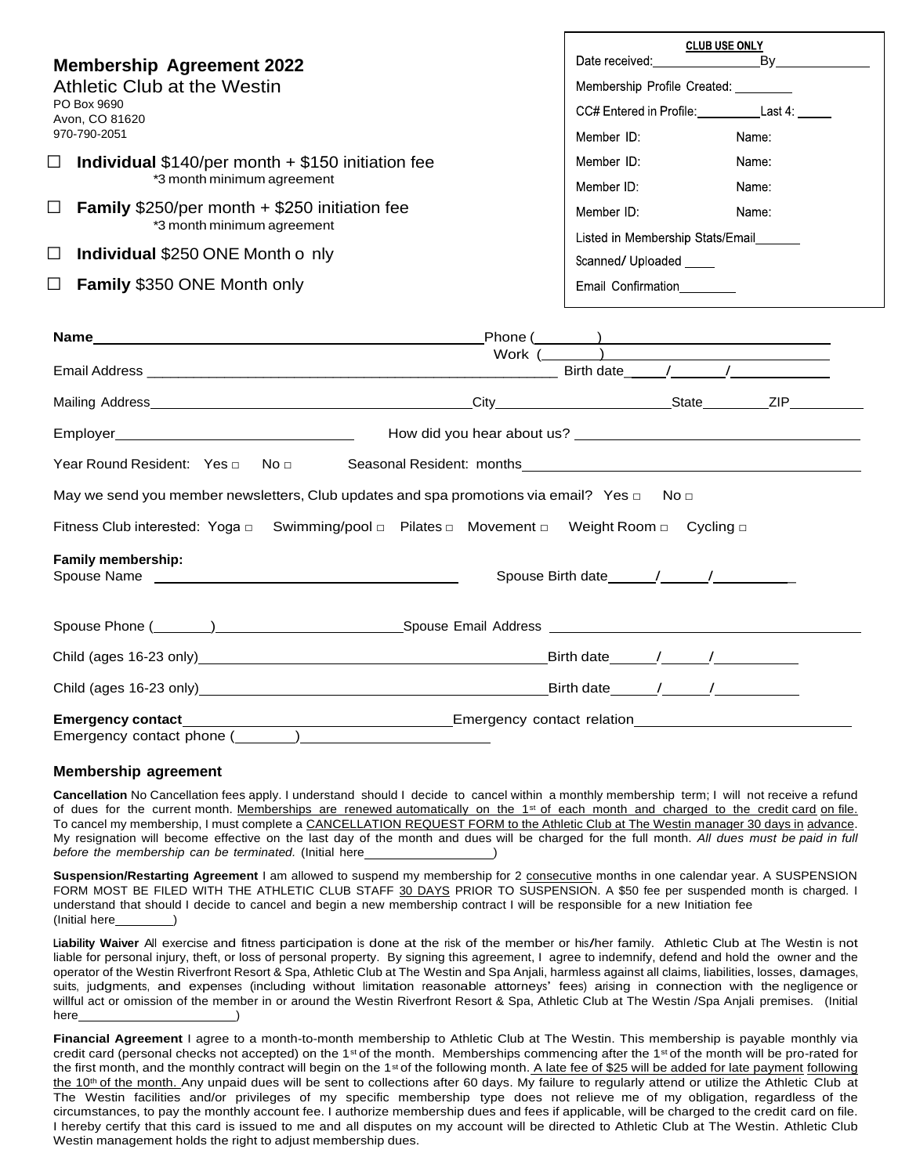|                                                                                                  | <b>CLUB USE ONLY</b>                    |         |
|--------------------------------------------------------------------------------------------------|-----------------------------------------|---------|
| <b>Membership Agreement 2022</b>                                                                 | Date received:                          | Bv      |
| Athletic Club at the Westin                                                                      | Membership Profile Created:             |         |
| PO Box 9690<br>Avon, CO 81620<br>970-790-2051                                                    | CC# Entered in Profile:                 | Last 4: |
|                                                                                                  | Member ID:                              | Name:   |
| <b>Individual</b> $$140/per month + $150$ initiation fee<br>$\Box$<br>*3 month minimum agreement | Member ID:                              | Name:   |
|                                                                                                  | Member ID:                              | Name:   |
| <b>Family</b> $$250/per month + $250$ initiation fee                                             | Member ID:                              | Name:   |
| *3 month minimum agreement                                                                       | Listed in Membership Stats/Email        |         |
| <b>Individual \$250 ONE Month o nly</b>                                                          | Scanned/ Uploaded<br>Email Confirmation |         |
| <b>Family \$350 ONE Month only</b>                                                               |                                         |         |
|                                                                                                  |                                         |         |

|                                                                                                     |                            | $\boxed{\text{Phone} \ (\hspace{2.5mm} \text{ )}$ |  |  |
|-----------------------------------------------------------------------------------------------------|----------------------------|---------------------------------------------------|--|--|
|                                                                                                     | Work $\overline{(\qquad)}$ |                                                   |  |  |
|                                                                                                     |                            |                                                   |  |  |
|                                                                                                     |                            |                                                   |  |  |
|                                                                                                     |                            |                                                   |  |  |
| May we send you member newsletters, Club updates and spa promotions via email? Yes $\Box$ No $\Box$ |                            |                                                   |  |  |
| Fitness Club interested: Yoga □ Swimming/pool □ Pilates □ Movement □ Weight Room □ Cycling □        |                            |                                                   |  |  |
| <b>Family membership:</b>                                                                           |                            |                                                   |  |  |
|                                                                                                     |                            |                                                   |  |  |
|                                                                                                     |                            |                                                   |  |  |
|                                                                                                     |                            |                                                   |  |  |
| Emergency contact phone (________)________                                                          |                            |                                                   |  |  |

## **Membership agreement**

**Cancellation** No Cancellation fees apply. I understand should I decide to cancel within a monthly membership term; I will not receive a refund of dues for the current month. Memberships are renewed automatically on the 1<sup>st</sup> of each month and charged to the credit card on file. To cancel my membership, I must complete a CANCELLATION REQUEST FORM to the Athletic Club at The Westin manager 30 days in advance. My resignation will become effective on the last day of the month and dues will be charged for the full month. *All dues must be paid in full before the membership can be terminated.* (Initial here )

Suspension/Restarting Agreement I am allowed to suspend my membership for 2 consecutive months in one calendar year. A SUSPENSION FORM MOST BE FILED WITH THE ATHLETIC CLUB STAFF 30 DAYS PRIOR TO SUSPENSION. A \$50 fee per suspended month is charged. I understand that should I decide to cancel and begin a new membership contract I will be responsible for a new Initiation fee (Initial here

**Liability Waiver** All exercise and fitness participation is done at the risk of the member or his/her family. Athletic Club at The Westin is not liable for personal injury, theft, or loss of personal property. By signing this agreement, I agree to indemnify, defend and hold the owner and the operator of the Westin Riverfront Resort & Spa, Athletic Club at The Westin and Spa Anjali, harmless against all claims, liabilities, losses, damages, suits, judgments, and expenses (including without limitation reasonable attorneys' fees) arising in connection with the negligence or willful act or omission of the member in or around the Westin Riverfront Resort & Spa, Athletic Club at The Westin /Spa Anjali premises. (Initial here

**Financial Agreement** I agree to a month-to-month membership to Athletic Club at The Westin. This membership is payable monthly via credit card (personal checks not accepted) on the 1<sup>st</sup> of the month. Memberships commencing after the 1<sup>st</sup> of the month will be pro-rated for the first month, and the monthly contract will begin on the 1<sup>st</sup> of the following month. A late fee of \$25 will be added for late payment following the 10<sup>th</sup> of the month. Any unpaid dues will be sent to collections after 60 days. My failure to regularly attend or utilize the Athletic Club at The Westin facilities and/or privileges of my specific membership type does not relieve me of my obligation, regardless of the circumstances, to pay the monthly account fee. I authorize membership dues and fees if applicable, will be charged to the credit card on file. I hereby certify that this card is issued to me and all disputes on my account will be directed to Athletic Club at The Westin. Athletic Club Westin management holds the right to adjust membership dues.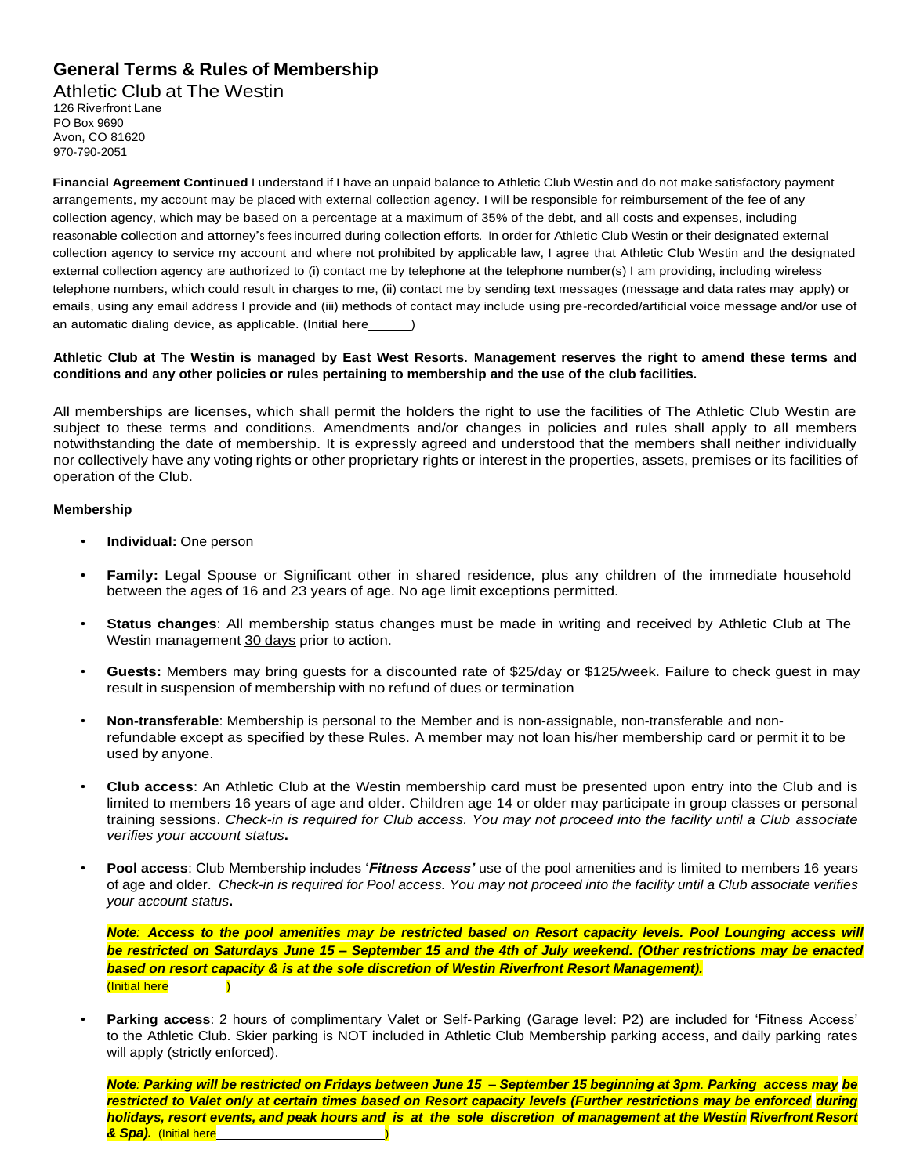## **General Terms & Rules of Membership**

Athletic Club at The Westin

126 Riverfront Lane PO Box 9690 Avon, CO 81620 970-790-2051

**Financial Agreement Continued** I understand if I have an unpaid balance to Athletic Club Westin and do not make satisfactory payment arrangements, my account may be placed with external collection agency. I will be responsible for reimbursement of the fee of any collection agency, which may be based on a percentage at a maximum of 35% of the debt, and all costs and expenses, including reasonable collection and attorney's fees incurred during collection efforts. In order for Athletic Club Westin or their designated external collection agency to service my account and where not prohibited by applicable law, I agree that Athletic Club Westin and the designated external collection agency are authorized to (i) contact me by telephone at the telephone number(s) I am providing, including wireless telephone numbers, which could result in charges to me, (ii) contact me by sending text messages (message and data rates may apply) or emails, using any email address I provide and (iii) methods of contact may include using pre-recorded/artificial voice message and/or use of an automatic dialing device, as applicable. (Initial here )

## **Athletic Club at The Westin is managed by East West Resorts. Management reserves the right to amend these terms and conditions and any other policies or rules pertaining to membership and the use of the club facilities.**

All memberships are licenses, which shall permit the holders the right to use the facilities of The Athletic Club Westin are subject to these terms and conditions. Amendments and/or changes in policies and rules shall apply to all members notwithstanding the date of membership. It is expressly agreed and understood that the members shall neither individually nor collectively have any voting rights or other proprietary rights or interest in the properties, assets, premises or its facilities of operation of the Club.

## **Membership**

- **Individual:** One person
- **Family:** Legal Spouse or Significant other in shared residence, plus any children of the immediate household between the ages of 16 and 23 years of age. No age limit exceptions permitted.
- **Status changes**: All membership status changes must be made in writing and received by Athletic Club at The Westin management 30 days prior to action.
- **Guests:** Members may bring guests for a discounted rate of \$25/day or \$125/week. Failure to check guest in may result in suspension of membership with no refund of dues or termination
- **Non-transferable**: Membership is personal to the Member and is non-assignable, non-transferable and nonrefundable except as specified by these Rules. A member may not loan his/her membership card or permit it to be used by anyone.
- **Club access**: An Athletic Club at the Westin membership card must be presented upon entry into the Club and is limited to members 16 years of age and older. Children age 14 or older may participate in group classes or personal training sessions. *Check-in is required for Club access. You may not proceed into the facility until a Club associate verifies your account status***.**
- **Pool access**: Club Membership includes '*Fitness Access'* use of the pool amenities and is limited to members 16 years of age and older. *Check-in is required for Pool access. You may not proceed into the facility until a Club associate verifies your account status***.**

Note: Access to the pool amenities may be restricted based on Resort capacity levels. Pool Lounging access will *be restricted on Saturdays June 15 – September 15 and the 4th of July weekend. (Other restrictions may be enacted based on resort capacity & is at the sole discretion of Westin Riverfront Resort Management).* (Initial here

• **Parking access**: 2 hours of complimentary Valet or Self-Parking (Garage level: P2) are included for 'Fitness Access' to the Athletic Club. Skier parking is NOT included in Athletic Club Membership parking access, and daily parking rates will apply (strictly enforced).

*Note: Parking will be restricted on Fridays between June 15 – September 15 beginning at 3pm. Parking access may be restricted to Valet only at certain times based on Resort capacity levels (Further restrictions may be enforced during holidays, resort events, and peak hours and is at the sole discretion of management at the Westin Riverfront Resort & Spa).* (Initial here )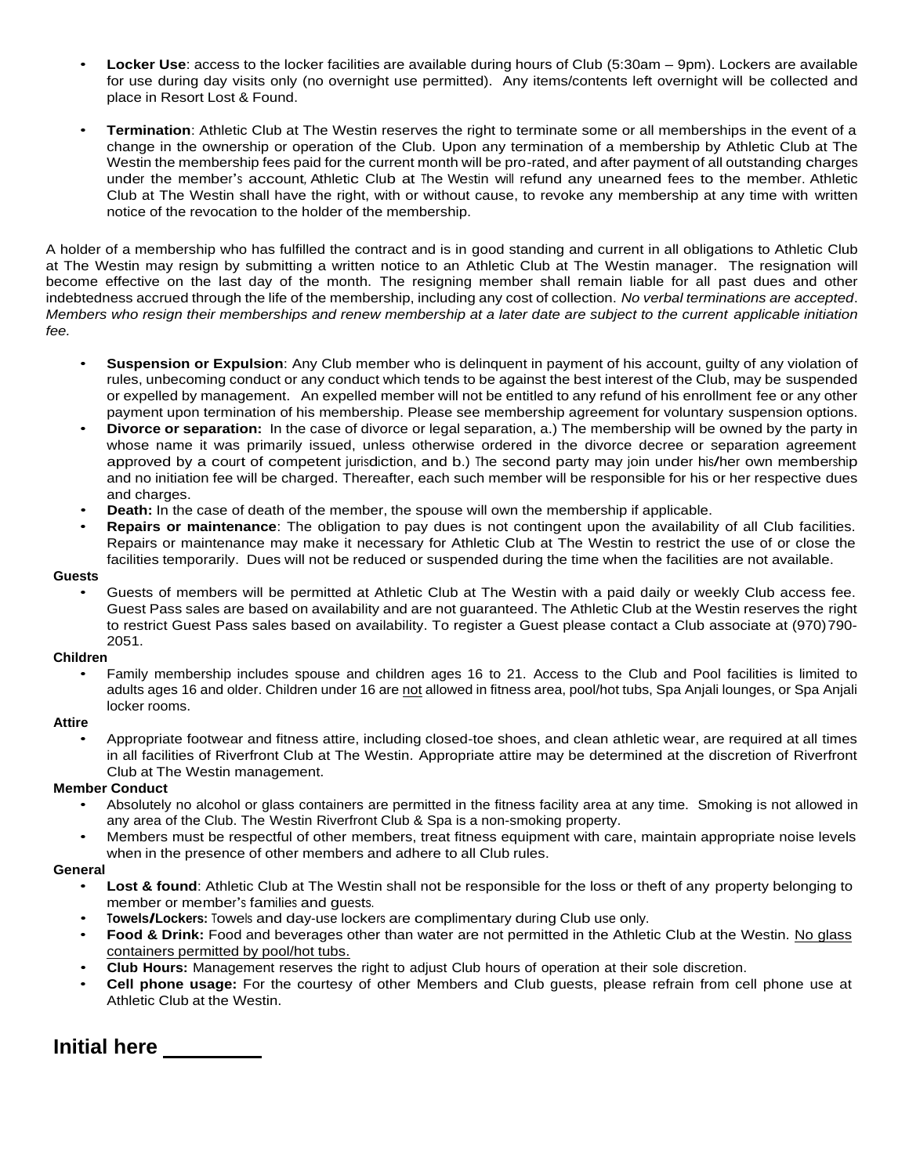- **Locker Use**: access to the locker facilities are available during hours of Club (5:30am 9pm). Lockers are available for use during day visits only (no overnight use permitted). Any items/contents left overnight will be collected and place in Resort Lost & Found.
- **Termination**: Athletic Club at The Westin reserves the right to terminate some or all memberships in the event of a change in the ownership or operation of the Club. Upon any termination of a membership by Athletic Club at The Westin the membership fees paid for the current month will be pro-rated, and after payment of all outstanding charges under the member's account*,* Athletic Club at The Westin will refund any unearned fees to the member. Athletic Club at The Westin shall have the right, with or without cause, to revoke any membership at any time with written notice of the revocation to the holder of the membership.

A holder of a membership who has fulfilled the contract and is in good standing and current in all obligations to Athletic Club at The Westin may resign by submitting a written notice to an Athletic Club at The Westin manager. The resignation will become effective on the last day of the month. The resigning member shall remain liable for all past dues and other indebtedness accrued through the life of the membership, including any cost of collection. *No verbal terminations are accepted*. *Members who resign their memberships and renew membership at a later date are subject to the current applicable initiation fee.*

- **Suspension or Expulsion**: Any Club member who is delinquent in payment of his account, guilty of any violation of rules, unbecoming conduct or any conduct which tends to be against the best interest of the Club, may be suspended or expelled by management. An expelled member will not be entitled to any refund of his enrollment fee or any other payment upon termination of his membership. Please see membership agreement for voluntary suspension options.
- **Divorce or separation:** In the case of divorce or legal separation, a.) The membership will be owned by the party in whose name it was primarily issued, unless otherwise ordered in the divorce decree or separation agreement approved by a court of competent jurisdiction, and b.) The second party may join under his/her own membership and no initiation fee will be charged. Thereafter, each such member will be responsible for his or her respective dues and charges.
- **Death:** In the case of death of the member, the spouse will own the membership if applicable.
- **Repairs or maintenance**: The obligation to pay dues is not contingent upon the availability of all Club facilities. Repairs or maintenance may make it necessary for Athletic Club at The Westin to restrict the use of or close the facilities temporarily. Dues will not be reduced or suspended during the time when the facilities are not available.

### **Guests**

• Guests of members will be permitted at Athletic Club at The Westin with a paid daily or weekly Club access fee. Guest Pass sales are based on availability and are not guaranteed. The Athletic Club at the Westin reserves the right to restrict Guest Pass sales based on availability. To register a Guest please contact a Club associate at (970)790- 2051.

### **Children**

• Family membership includes spouse and children ages 16 to 21. Access to the Club and Pool facilities is limited to adults ages 16 and older. Children under 16 are not allowed in fitness area, pool/hot tubs, Spa Anjali lounges, or Spa Anjali locker rooms.

#### **Attire**

• Appropriate footwear and fitness attire, including closed-toe shoes, and clean athletic wear, are required at all times in all facilities of Riverfront Club at The Westin*.* Appropriate attire may be determined at the discretion of Riverfront Club at The Westin management.

### **Member Conduct**

- Absolutely no alcohol or glass containers are permitted in the fitness facility area at any time. Smoking is not allowed in any area of the Club. The Westin Riverfront Club & Spa is a non-smoking property.
- Members must be respectful of other members, treat fitness equipment with care, maintain appropriate noise levels when in the presence of other members and adhere to all Club rules.

### **General**

- **Lost & found:** Athletic Club at The Westin shall not be responsible for the loss or theft of any property belonging to member or member's families and guests.
- **Towels/Lockers:** Towels and day-use lockers are complimentary during Club use only.
- **Food & Drink:** Food and beverages other than water are not permitted in the Athletic Club at the Westin. No glass containers permitted by pool/hot tubs.
- **Club Hours:** Management reserves the right to adjust Club hours of operation at their sole discretion.
- **Cell phone usage:** For the courtesy of other Members and Club guests, please refrain from cell phone use at Athletic Club at the Westin.

# **Initial here**